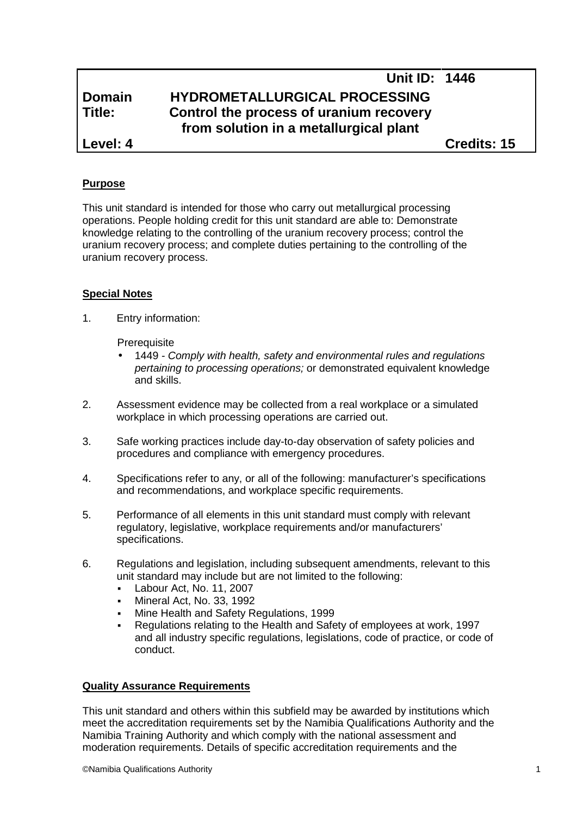|               | Unit ID: 1446                                                                     |  |
|---------------|-----------------------------------------------------------------------------------|--|
| <b>Domain</b> | HYDROMETALLURGICAL PROCESSING                                                     |  |
| Title:        | Control the process of uranium recovery<br>from solution in a metallurgical plant |  |
| Level: 4      | <b>Credits: 15</b>                                                                |  |

### **Purpose**

This unit standard is intended for those who carry out metallurgical processing operations. People holding credit for this unit standard are able to: Demonstrate knowledge relating to the controlling of the uranium recovery process; control the uranium recovery process; and complete duties pertaining to the controlling of the uranium recovery process.

#### **Special Notes**

1. Entry information:

**Prerequisite** 

- 1449 *- Comply with health, safety and environmental rules and regulations pertaining to processing operations;* or demonstrated equivalent knowledge and skills.
- 2. Assessment evidence may be collected from a real workplace or a simulated workplace in which processing operations are carried out.
- 3. Safe working practices include day-to-day observation of safety policies and procedures and compliance with emergency procedures.
- 4. Specifications refer to any, or all of the following: manufacturer's specifications and recommendations, and workplace specific requirements.
- 5. Performance of all elements in this unit standard must comply with relevant regulatory, legislative, workplace requirements and/or manufacturers' specifications.
- 6. Regulations and legislation, including subsequent amendments, relevant to this unit standard may include but are not limited to the following:
	- Labour Act, No. 11, 2007
	- Mineral Act, No. 33, 1992
	- Mine Health and Safety Regulations, 1999
	- Regulations relating to the Health and Safety of employees at work, 1997 and all industry specific regulations, legislations, code of practice, or code of conduct.

#### **Quality Assurance Requirements**

This unit standard and others within this subfield may be awarded by institutions which meet the accreditation requirements set by the Namibia Qualifications Authority and the Namibia Training Authority and which comply with the national assessment and moderation requirements. Details of specific accreditation requirements and the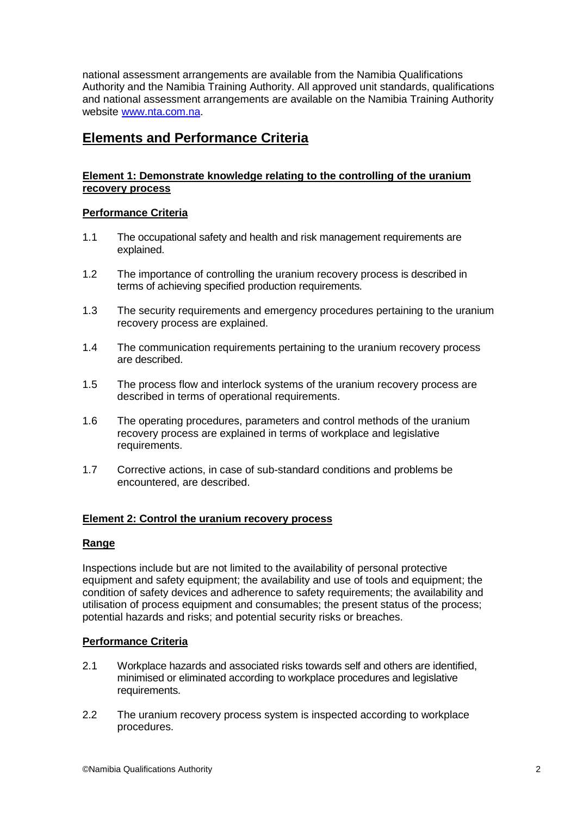national assessment arrangements are available from the Namibia Qualifications Authority and the Namibia Training Authority. All approved unit standards, qualifications and national assessment arrangements are available on the Namibia Training Authority website www.nta.com.na.

## **Elements and Performance Criteria**

### **Element 1: Demonstrate knowledge relating to the controlling of the uranium recovery process**

### **Performance Criteria**

- 1.1 The occupational safety and health and risk management requirements are explained.
- 1.2 The importance of controlling the uranium recovery process is described in terms of achieving specified production requirements.
- 1.3 The security requirements and emergency procedures pertaining to the uranium recovery process are explained.
- 1.4 The communication requirements pertaining to the uranium recovery process are described.
- 1.5 The process flow and interlock systems of the uranium recovery process are described in terms of operational requirements.
- 1.6 The operating procedures, parameters and control methods of the uranium recovery process are explained in terms of workplace and legislative requirements.
- 1.7 Corrective actions, in case of sub-standard conditions and problems be encountered, are described.

#### **Element 2: Control the uranium recovery process**

#### **Range**

Inspections include but are not limited to the availability of personal protective equipment and safety equipment; the availability and use of tools and equipment; the condition of safety devices and adherence to safety requirements; the availability and utilisation of process equipment and consumables; the present status of the process; potential hazards and risks; and potential security risks or breaches.

#### **Performance Criteria**

- 2.1 Workplace hazards and associated risks towards self and others are identified, minimised or eliminated according to workplace procedures and legislative requirements.
- 2.2 The uranium recovery process system is inspected according to workplace procedures.